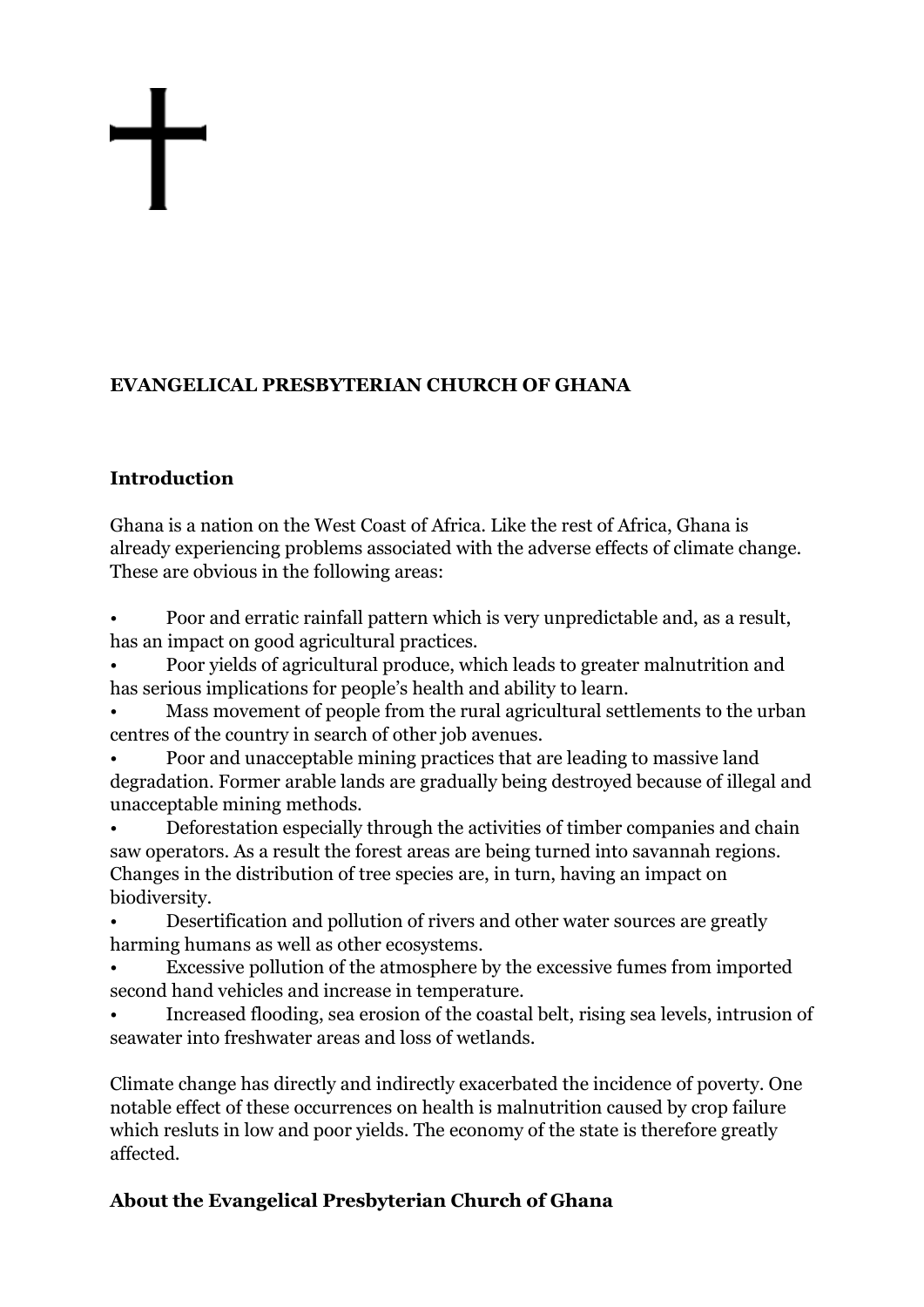# **EVANGELICAL PRESBYTERIAN CHURCH OF GHANA**

# **Introduction**

Ghana is a nation on the West Coast of Africa. Like the rest of Africa, Ghana is already experiencing problems associated with the adverse effects of climate change. These are obvious in the following areas:

• Poor and erratic rainfall pattern which is very unpredictable and, as a result, has an impact on good agricultural practices.

• Poor yields of agricultural produce, which leads to greater malnutrition and has serious implications for people's health and ability to learn.

• Mass movement of people from the rural agricultural settlements to the urban centres of the country in search of other job avenues.

• Poor and unacceptable mining practices that are leading to massive land degradation. Former arable lands are gradually being destroyed because of illegal and unacceptable mining methods.

• Deforestation especially through the activities of timber companies and chain saw operators. As a result the forest areas are being turned into savannah regions. Changes in the distribution of tree species are, in turn, having an impact on biodiversity.

• Desertification and pollution of rivers and other water sources are greatly harming humans as well as other ecosystems.

• Excessive pollution of the atmosphere by the excessive fumes from imported second hand vehicles and increase in temperature.

• Increased flooding, sea erosion of the coastal belt, rising sea levels, intrusion of seawater into freshwater areas and loss of wetlands.

Climate change has directly and indirectly exacerbated the incidence of poverty. One notable effect of these occurrences on health is malnutrition caused by crop failure which resluts in low and poor yields. The economy of the state is therefore greatly affected.

# **About the Evangelical Presbyterian Church of Ghana**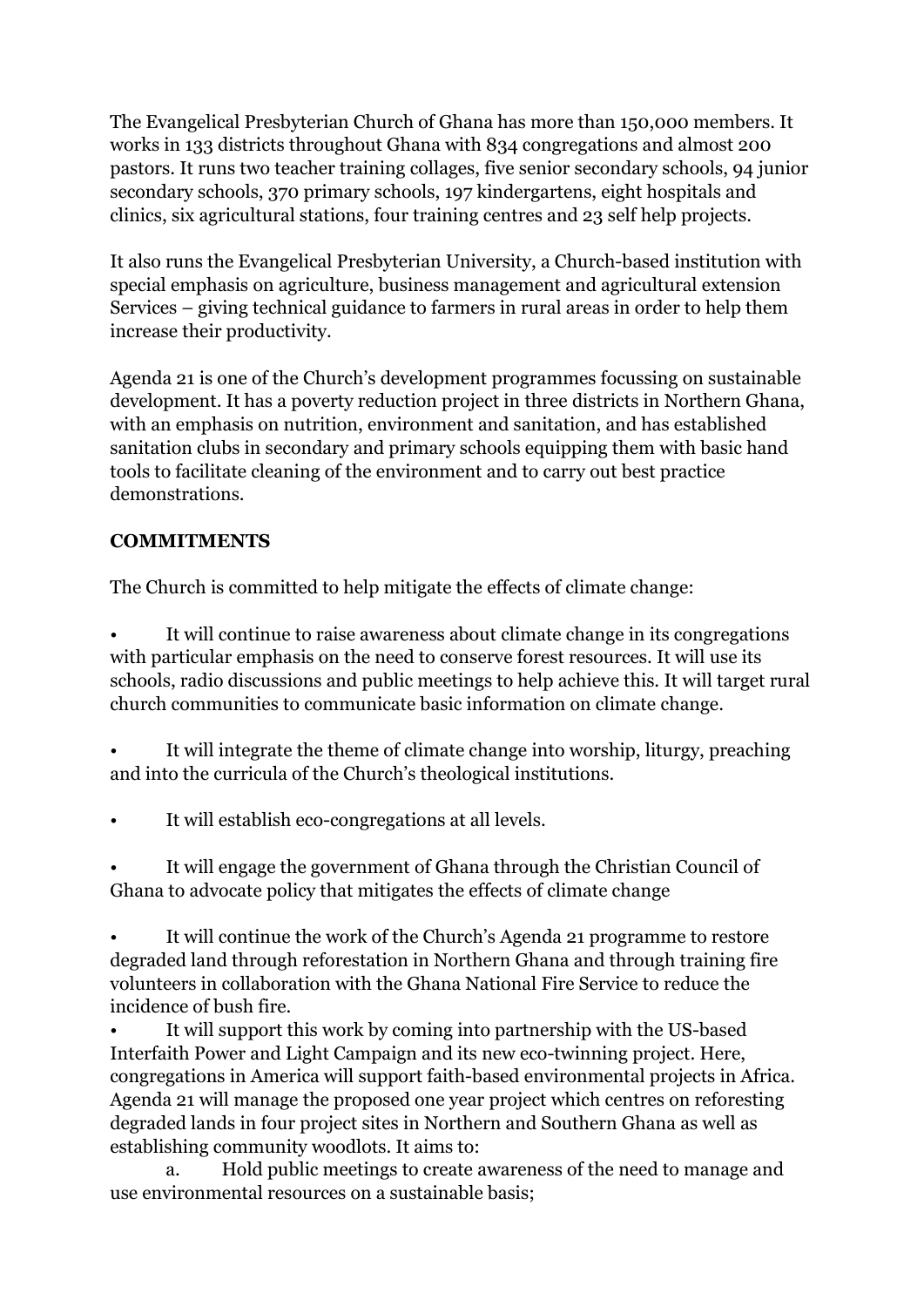The Evangelical Presbyterian Church of Ghana has more than 150,000 members. It works in 133 districts throughout Ghana with 834 congregations and almost 200 pastors. It runs two teacher training collages, five senior secondary schools, 94 junior secondary schools, 370 primary schools, 197 kindergartens, eight hospitals and clinics, six agricultural stations, four training centres and 23 self help projects.

It also runs the Evangelical Presbyterian University, a Church-based institution with special emphasis on agriculture, business management and agricultural extension Services – giving technical guidance to farmers in rural areas in order to help them increase their productivity.

Agenda 21 is one of the Church's development programmes focussing on sustainable development. It has a poverty reduction project in three districts in Northern Ghana, with an emphasis on nutrition, environment and sanitation, and has established sanitation clubs in secondary and primary schools equipping them with basic hand tools to facilitate cleaning of the environment and to carry out best practice demonstrations.

# **COMMITMENTS**

The Church is committed to help mitigate the effects of climate change:

It will continue to raise awareness about climate change in its congregations with particular emphasis on the need to conserve forest resources. It will use its schools, radio discussions and public meetings to help achieve this. It will target rural church communities to communicate basic information on climate change.

It will integrate the theme of climate change into worship, liturgy, preaching and into the curricula of the Church's theological institutions.

It will establish eco-congregations at all levels.

It will engage the government of Ghana through the Christian Council of Ghana to advocate policy that mitigates the effects of climate change

It will continue the work of the Church's Agenda 21 programme to restore degraded land through reforestation in Northern Ghana and through training fire volunteers in collaboration with the Ghana National Fire Service to reduce the incidence of bush fire.

It will support this work by coming into partnership with the US-based Interfaith Power and Light Campaign and its new eco-twinning project. Here, congregations in America will support faith-based environmental projects in Africa. Agenda 21 will manage the proposed one year project which centres on reforesting degraded lands in four project sites in Northern and Southern Ghana as well as establishing community woodlots. It aims to:

 a. Hold public meetings to create awareness of the need to manage and use environmental resources on a sustainable basis;